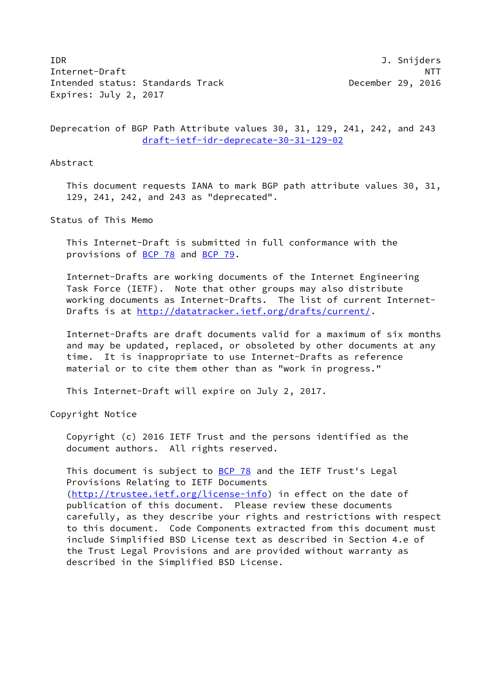IDR J. Snijders Internet-Draft NTT Intended status: Standards Track December 29, 2016 Expires: July 2, 2017

Deprecation of BGP Path Attribute values 30, 31, 129, 241, 242, and 243 [draft-ietf-idr-deprecate-30-31-129-02](https://datatracker.ietf.org/doc/pdf/draft-ietf-idr-deprecate-30-31-129-02)

Abstract

 This document requests IANA to mark BGP path attribute values 30, 31, 129, 241, 242, and 243 as "deprecated".

Status of This Memo

 This Internet-Draft is submitted in full conformance with the provisions of [BCP 78](https://datatracker.ietf.org/doc/pdf/bcp78) and [BCP 79](https://datatracker.ietf.org/doc/pdf/bcp79).

 Internet-Drafts are working documents of the Internet Engineering Task Force (IETF). Note that other groups may also distribute working documents as Internet-Drafts. The list of current Internet- Drafts is at<http://datatracker.ietf.org/drafts/current/>.

 Internet-Drafts are draft documents valid for a maximum of six months and may be updated, replaced, or obsoleted by other documents at any time. It is inappropriate to use Internet-Drafts as reference material or to cite them other than as "work in progress."

This Internet-Draft will expire on July 2, 2017.

Copyright Notice

 Copyright (c) 2016 IETF Trust and the persons identified as the document authors. All rights reserved.

This document is subject to  $BCP$  78 and the IETF Trust's Legal Provisions Relating to IETF Documents [\(http://trustee.ietf.org/license-info](http://trustee.ietf.org/license-info)) in effect on the date of publication of this document. Please review these documents carefully, as they describe your rights and restrictions with respect to this document. Code Components extracted from this document must include Simplified BSD License text as described in Section 4.e of the Trust Legal Provisions and are provided without warranty as described in the Simplified BSD License.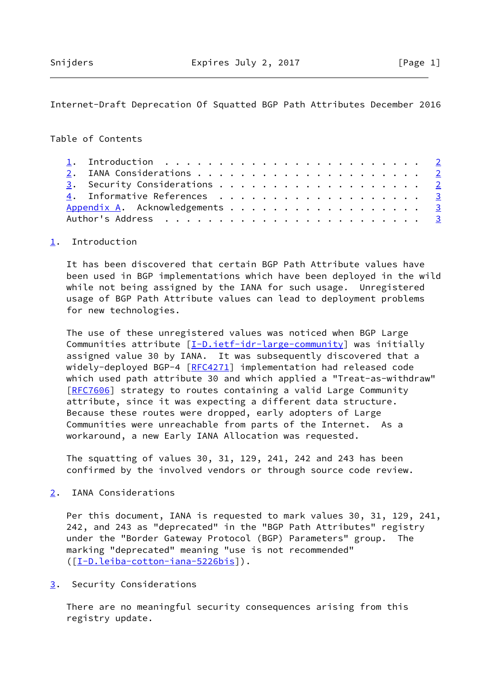## <span id="page-1-1"></span>Internet-Draft Deprecation Of Squatted BGP Path Attributes December 2016

## Table of Contents

|  | 3. Security Considerations 2   |  |
|--|--------------------------------|--|
|  | 4. Informative References 3    |  |
|  | Appendix A. Acknowledgements 3 |  |
|  |                                |  |

## <span id="page-1-0"></span>[1](#page-1-0). Introduction

 It has been discovered that certain BGP Path Attribute values have been used in BGP implementations which have been deployed in the wild while not being assigned by the IANA for such usage. Unregistered usage of BGP Path Attribute values can lead to deployment problems for new technologies.

 The use of these unregistered values was noticed when BGP Large Communities attribute  $[I-D.iett-idr-large-community]$  was initially assigned value 30 by IANA. It was subsequently discovered that a widely-deployed BGP-4 [[RFC4271](https://datatracker.ietf.org/doc/pdf/rfc4271)] implementation had released code which used path attribute 30 and which applied a "Treat-as-withdraw" [\[RFC7606](https://datatracker.ietf.org/doc/pdf/rfc7606)] strategy to routes containing a valid Large Community attribute, since it was expecting a different data structure. Because these routes were dropped, early adopters of Large Communities were unreachable from parts of the Internet. As a workaround, a new Early IANA Allocation was requested.

 The squatting of values 30, 31, 129, 241, 242 and 243 has been confirmed by the involved vendors or through source code review.

<span id="page-1-2"></span>[2](#page-1-2). IANA Considerations

 Per this document, IANA is requested to mark values 30, 31, 129, 241, 242, and 243 as "deprecated" in the "BGP Path Attributes" registry under the "Border Gateway Protocol (BGP) Parameters" group. The marking "deprecated" meaning "use is not recommended" ([\[I-D.leiba-cotton-iana-5226bis\]](#page-2-4)).

<span id="page-1-3"></span>[3](#page-1-3). Security Considerations

 There are no meaningful security consequences arising from this registry update.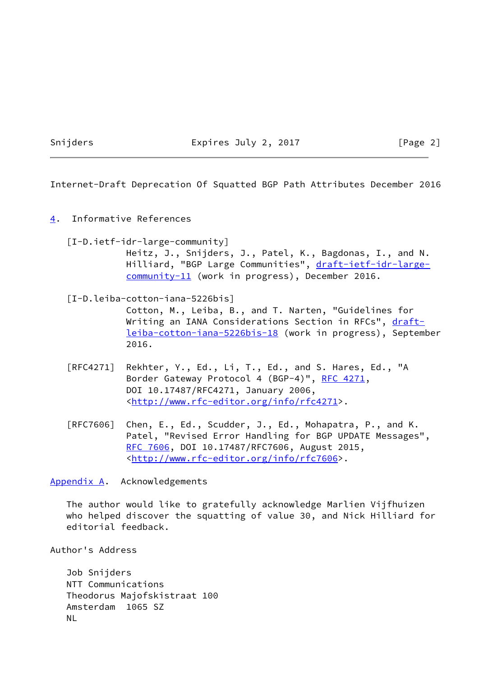Snijders **Expires July 2, 2017** [Page 2]

<span id="page-2-1"></span>Internet-Draft Deprecation Of Squatted BGP Path Attributes December 2016

<span id="page-2-0"></span>[4](#page-2-0). Informative References

<span id="page-2-3"></span> [I-D.ietf-idr-large-community] Heitz, J., Snijders, J., Patel, K., Bagdonas, I., and N. Hilliard, "BGP Large Communities", [draft-ietf-idr-large](https://datatracker.ietf.org/doc/pdf/draft-ietf-idr-large-community-11) [community-11](https://datatracker.ietf.org/doc/pdf/draft-ietf-idr-large-community-11) (work in progress), December 2016.

- <span id="page-2-4"></span> [I-D.leiba-cotton-iana-5226bis] Cotton, M., Leiba, B., and T. Narten, "Guidelines for Writing an IANA Considerations Section in RFCs", [draft](https://datatracker.ietf.org/doc/pdf/draft-leiba-cotton-iana-5226bis-18) [leiba-cotton-iana-5226bis-18](https://datatracker.ietf.org/doc/pdf/draft-leiba-cotton-iana-5226bis-18) (work in progress), September 2016.
- [RFC4271] Rekhter, Y., Ed., Li, T., Ed., and S. Hares, Ed., "A Border Gateway Protocol 4 (BGP-4)", [RFC 4271,](https://datatracker.ietf.org/doc/pdf/rfc4271) DOI 10.17487/RFC4271, January 2006, <<http://www.rfc-editor.org/info/rfc4271>>.
- [RFC7606] Chen, E., Ed., Scudder, J., Ed., Mohapatra, P., and K. Patel, "Revised Error Handling for BGP UPDATE Messages", [RFC 7606,](https://datatracker.ietf.org/doc/pdf/rfc7606) DOI 10.17487/RFC7606, August 2015, <<http://www.rfc-editor.org/info/rfc7606>>.

<span id="page-2-2"></span>[Appendix A.](#page-2-2) Acknowledgements

 The author would like to gratefully acknowledge Marlien Vijfhuizen who helped discover the squatting of value 30, and Nick Hilliard for editorial feedback.

Author's Address

 Job Snijders NTT Communications Theodorus Majofskistraat 100 Amsterdam 1065 SZ NL